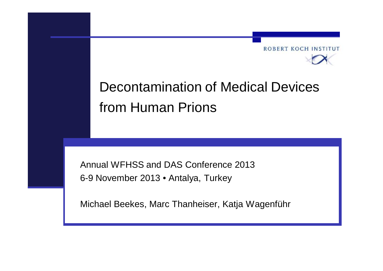

# Decontamination of Medical Devices from Human Prions

Annual WFHSS and DAS Conference 2013 6-9 November 2013 • Antalya, Turkey

Michael Beekes, Marc Thanheiser, Katja Wagenführ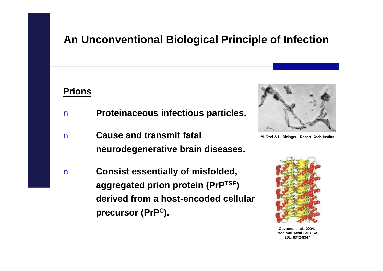### **An Unconventional Biological Principle of Infection**

#### **Prions**

- n **Proteinaceous infectious particles.**
- n **Cause and transmit fatal neurodegenerative brain diseases.**
- n **Consist essentially of misfolded, aggregated prion protein (PrPTSE) derived from a host-encoded cellular precursor (PrP<sup>C</sup>).**



**M. Özel & H. Diringer, Robert Koch-Institut**



**Govaerts et al., 2004, Proc Natl Acad Sci USA, 101: 8342-8347**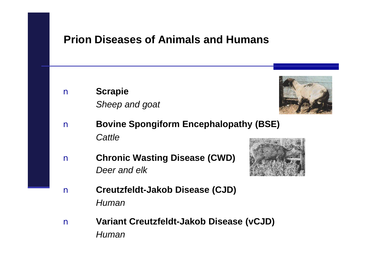### **Prion Diseases of Animals and Humans**

n **Scrapie** *Sheep and goat*



- n **Bovine Spongiform Encephalopathy (BSE)**  *Cattle*
- n **Chronic Wasting Disease (CWD)** *Deer and elk*



- n **Creutzfeldt-Jakob Disease (CJD)** *Human*
- n **Variant Creutzfeldt-Jakob Disease (vCJD)** *Human*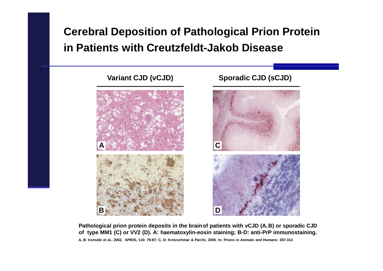### **Cerebral Deposition of Pathological Prion Protein in Patients with Creutzfeldt-Jakob Disease**



**Pathological prion protein deposits in the brainof patients with vCJD (A,B) or sporadic CJD of type MM1 (C) or VV2 (D). A: haematoxylin-eosin staining; B-D: anti-PrP immunostaining.** A, B: Ironside et al., 2002, APMIS, 110: 79-87; C, D: Kretzschmar & Parchi, 2006. In: Prions in Animals and Humans: 287-314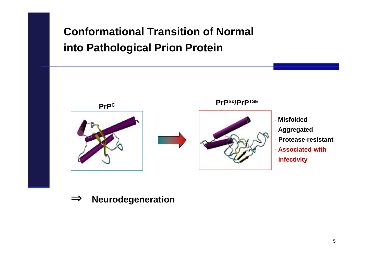# **Conformational Transition of Normal into Pathological Prion Protein**



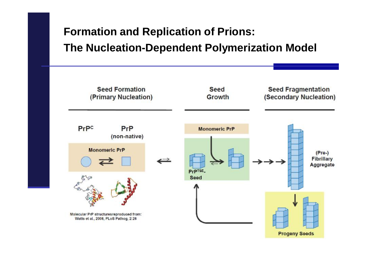# **Formation and Replication of Prions: The Nucleation-Dependent Polymerization Model**

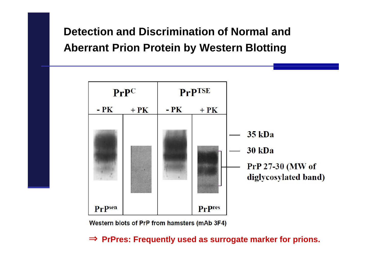### **Detection and Discrimination of Normal and Aberrant Prion Protein by Western Blotting**



Western blots of PrP from hamsters (mAb 3F4)

**Þ PrPres: Frequently used as surrogate marker for prions.**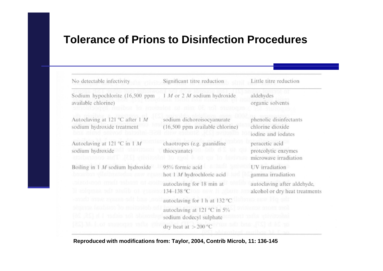### **Tolerance of Prions to Disinfection Procedures**

| No detectable infectivity                                     | Significant titre reduction                                                           | Little titre reduction                                           |  |
|---------------------------------------------------------------|---------------------------------------------------------------------------------------|------------------------------------------------------------------|--|
| Sodium hypochlorite (16,500 ppm<br>available chlorine)        | 1 M or 2 M sodium hydroxide                                                           | aldehydes<br>organic solvents                                    |  |
| Autoclaving at 121 °C after 1 M<br>sodium hydroxide treatment | sodium dichoroisocyanurate<br>(16,500 ppm available chlorine)                         | phenolic disinfectants<br>chlorine dioxide<br>iodine and iodates |  |
| Autoclaving at 121 °C in 1 M<br>sodium hydroxide              | chaotropes (e.g. guanidine<br>thiocyanate) <b>DED ALC</b><br>to each a of gu to laviv | peracetic acid<br>protcolytic enzymes<br>microwave irradiation   |  |
| Boiling in 1 M sodium hydroxide                               | 95% formic acid<br>hot 1 M hydrochloric acid                                          | UV irradiation<br>gamma irradiation                              |  |
| ru to dilute the samples if                                   | autoclaving for 18 min at<br>134-138 °C rom as well and                               | autoclaving after aldehyde,<br>alcohol or dry heat treatments    |  |
| and the asses were thene-                                     | autoclaving for 1 h at 132 °C                                                         |                                                                  |  |
| de for either 1 h $[25, 26]$                                  | autoclaving at 121 $^{\circ}$ C in 5%<br>sodium dodecyl sulphate                      | tolis virvuosini                                                 |  |
| RSLM bot muzones mft                                          | dry heat at $>$ 200 °C                                                                | or 24 it [27], and th                                            |  |

**Reproduced with modifications from: Taylor, 2004, Contrib Microb, 11: 136-145**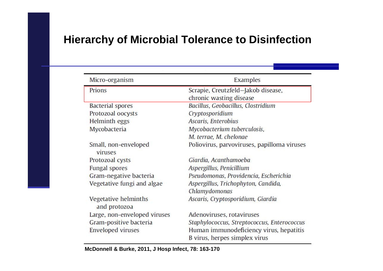### **Hierarchy of Microbial Tolerance to Disinfection**

| Micro-organism                       | Examples                                    |  |  |
|--------------------------------------|---------------------------------------------|--|--|
| Prions                               | Scrapie, Creutzfeld-Jakob disease,          |  |  |
|                                      | chronic wasting disease                     |  |  |
| <b>Bacterial spores</b>              | Bacillus, Geobacillus, Clostridium          |  |  |
| Protozoal oocysts                    | Cryptosporidium                             |  |  |
| Helminth eggs                        | Ascaris, Enterobius                         |  |  |
| Mycobacteria                         | Mycobacterium tuberculosis,                 |  |  |
|                                      | M. terrae, M. chelonae                      |  |  |
| Small, non-enveloped<br>viruses      | Poliovirus, parvoviruses, papilloma viruses |  |  |
| Protozoal cysts                      | Giardia, Acanthamoeba                       |  |  |
| <b>Fungal spores</b>                 | Aspergillus, Penicillium                    |  |  |
| Gram-negative bacteria               | Pseudomonas, Providencia, Escherichia       |  |  |
| Vegetative fungi and algae           | Aspergillus, Trichophyton, Candida,         |  |  |
|                                      | Chlamydomonas                               |  |  |
| Vegetative helminths<br>and protozoa | Ascaris, Cryptosporidium, Giardia           |  |  |
| Large, non-enveloped viruses         | Adenoviruses, rotaviruses                   |  |  |
| Gram-positive bacteria               | Staphylococcus, Streptococcus, Enterococcus |  |  |
| <b>Enveloped</b> viruses             | Human immunodeficiency virus, hepatitis     |  |  |
|                                      | B virus, herpes simplex virus               |  |  |

**McDonnell & Burke, 2011, J Hosp Infect, 78: 163-170**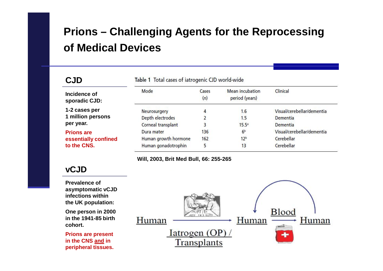# **Prions – Challenging Agents for the Reprocessing of Medical Devices**

| <b>CJD</b>                    | Table 1 Total cases of iatrogenic CJD world-wide |              |                                          |                            |  |
|-------------------------------|--------------------------------------------------|--------------|------------------------------------------|----------------------------|--|
| Incidence of<br>sporadic CJD: | Mode                                             | Cases<br>(n) | <b>Mean incubation</b><br>period (years) | Clinical                   |  |
| 1-2 cases per                 | Neurosurgery                                     | 4            | 1.6                                      | Visual/cerebellar/dementia |  |
| 1 million persons             | Depth electrodes                                 |              | 1.5                                      | <b>Dementia</b>            |  |
| per year.                     | Corneal transplant                               | 3            | 15.5a                                    | Dementia                   |  |
| <b>Prions are</b>             | Dura mater                                       | 136          | 6 <sup>b</sup>                           | Visual/cerebellar/dementia |  |
| essentially confined          | Human growth hormone                             | 162          | 12 <sup>b</sup>                          | Cerebellar                 |  |
| to the CNS.                   | Human gonadotrophin                              |              | 13                                       | Cerebellar                 |  |

**Will, 2003, Brit Med Bull, 66: 255-265**

#### **vCJD**

**Prevalence of asymptomatic vCJD infections within the UK population:**

**One person in 2000 in the 1941-85 birth cohort.**

**Prions are present in the CNS and in peripheral tissues.**

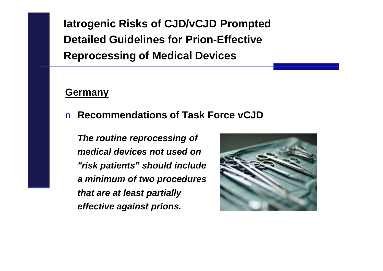**Iatrogenic Risks of CJD/vCJD Prompted Detailed Guidelines for Prion-Effective Reprocessing of Medical Devices** 

#### **Germany**

### n **Recommendations of Task Force vCJD**

*The routine reprocessing of medical devices not used on "risk patients" should include a minimum of two procedures that are at least partially effective against prions.* 

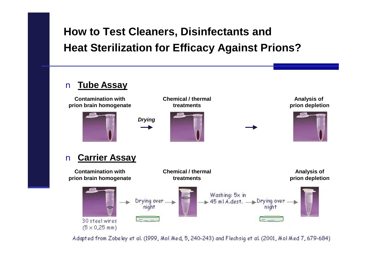### **How to Test Cleaners, Disinfectants and Heat Sterilization for Efficacy Against Prions?**

#### n **Tube Assay**



Adapted from Zobeley et al. (1999, Mol Med, 5, 240-243) and Flechsig et al. (2001, Mol Med 7, 679-684)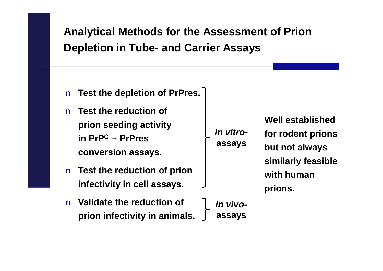**Analytical Methods for the Assessment of Prion Depletion in Tube- and Carrier Assays**

- n **Test the depletion of PrPres.**
- n **Test the reduction of prion seeding activity in PrP<sup>C</sup> ® PrPres conversion assays.**
- n **Test the reduction of prion infectivity in cell assays.**
- *In vitro***assays**

**Well established**

- **for rodent prions but not always similarly feasible with human prions.**
- n **Validate the reduction of prion infectivity in animals.** 
	- *In vivo***assays**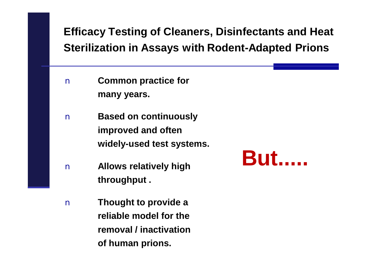**Efficacy Testing of Cleaners, Disinfectants and Heat Sterilization in Assays with Rodent-Adapted Prions** 

- n **Common practice for many years.**
- n **Based on continuously improved and often widely-used test systems.**
- n **Allows relatively high throughput .**
- n **Thought to provide a reliable model for the removal / inactivation of human prions.**

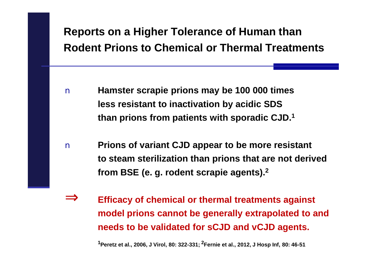### **Reports on a Higher Tolerance of Human than Rodent Prions to Chemical or Thermal Treatments**

- n **Hamster scrapie prions may be 100 000 times less resistant to inactivation by acidic SDS than prions from patients with sporadic CJD.<sup>1</sup>**
- n **Prions of variant CJD appear to be more resistant to steam sterilization than prions that are not derived from BSE (e. g. rodent scrapie agents).<sup>2</sup>**
- **Þ Efficacy of chemical or thermal treatments against model prions cannot be generally extrapolated to and needs to be validated for sCJD and vCJD agents.**

**<sup>1</sup>Peretz et al., 2006, J Virol, 80: 322-331; 2Fernie et al., 2012, J Hosp Inf, 80: 46-51**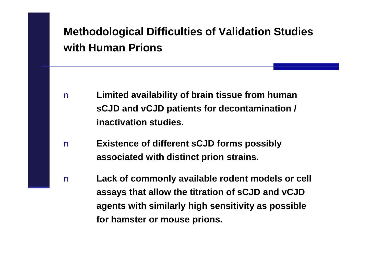### **Methodological Difficulties of Validation Studies with Human Prions**

- n **Limited availability of brain tissue from human sCJD and vCJD patients for decontamination / inactivation studies.**
- n **Existence of different sCJD forms possibly associated with distinct prion strains.**
- n **Lack of commonly available rodent models or cell assays that allow the titration of sCJD and vCJD agents with similarly high sensitivity as possible for hamster or mouse prions.**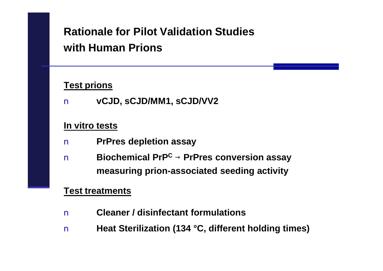# **Rationale for Pilot Validation Studies with Human Prions**

#### **Test prions**

n **vCJD, sCJD/MM1, sCJD/VV2**

#### **In vitro tests**

- n **PrPres depletion assay**
- n **Biochemical PrP<sup>C</sup> ® PrPres conversion assay measuring prion-associated seeding activity**

#### **Test treatments**

- n **Cleaner / disinfectant formulations**
- n **Heat Sterilization (134 °C, different holding times)**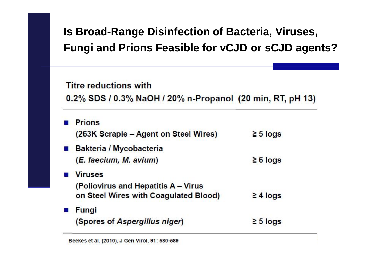# **Is Broad-Range Disinfection of Bacteria, Viruses, Fungi and Prions Feasible for vCJD or sCJD agents?**

#### **Titre reductions with**

0.2% SDS / 0.3% NaOH / 20% n-Propanol (20 min, RT, pH 13)

**Prions** (263K Scrapie – Agent on Steel Wires)  $\geq$  5 logs **Bakteria / Mycobacteria** (E. faecium, M. avium)  $\geq 6$  logs **Viruses** (Poliovirus and Hepatitis A - Virus on Steel Wires with Coagulated Blood)  $\geq 4$  logs **Fungi** (Spores of Aspergillus niger)  $\geq 5$  logs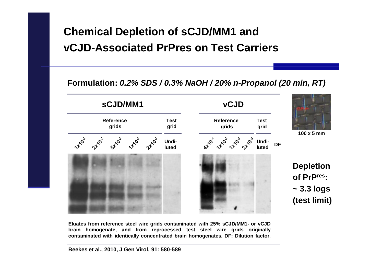### **Chemical Depletion of sCJD/MM1 and vCJD-Associated PrPres on Test Carriers**

#### **Formulation:** *0.2% SDS / 0.3% NaOH / 20% n-Propanol (20 min, RT)*



**Eluates from reference steel wire grids contaminated with 25% sCJD/MM1- or vCJD brain homogenate, and from reprocessed test steel wire grids originally contaminated with identically concentrated brain homogenates. DF: Dilution factor.**

**Beekes et al., 2010, J Gen Virol, 91: 580-589**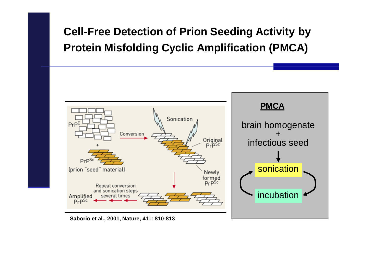# **Cell-Free Detection of Prion Seeding Activity by Protein Misfolding Cyclic Amplification (PMCA)**



**Saborio et al., 2001, Nature, 411: 810-813**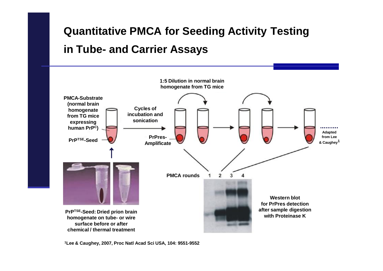### **Quantitative PMCA for Seeding Activity Testing**

### **in Tube- and Carrier Assays**



**<sup>1</sup>Lee & Caughey, 2007, Proc Natl Acad Sci USA, 104: 9551-9552**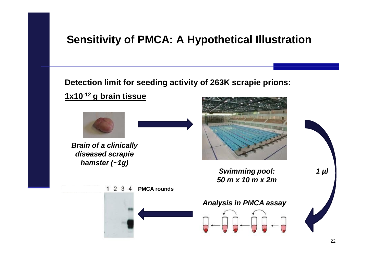### **Sensitivity of PMCA: A Hypothetical Illustration**

**Detection limit for seeding activity of 263K scrapie prions:** 





*Brain of a clinically diseased scrapie hamster (~1g)*



*1 µl*

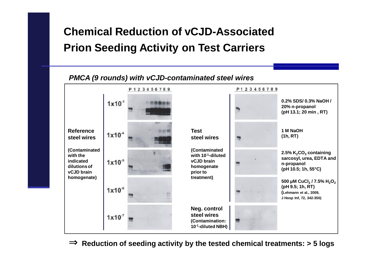### **Chemical Reduction of vCJD-Associated Prion Seeding Activity on Test Carriers**

#### *PMCA (9 rounds) with vCJD-contaminated steel wires* P123456789 P123456789 **0.2% SDS/ 0.3% NaOH /**  $1x10^{-1}$ **20% n-propanol (pH 13.1; 20 min , RT) Reference Test 1 M NaOH**  $1x10<sup>-4</sup>$ **(1h, RT) steel wires steel wires (Contaminated (Contaminated 2.5% K2CO<sup>3</sup> containing with 10-1-diluted with the sarcosyl, urea, EDTA and vCJD brain indicated**  $1x10^{-5}$ **n-propanol dilutions of homogenate (pH 10.5; 1h, 55°C) vCJD brain prior to homogenate) treatment) 500 μM CuCl<sup>2</sup> / 7.5% H2O<sup>2</sup> (pH 9.5; 1h, RT)**  $1x10<sup>6</sup>$ **(Lehmann et al., 2009, J Hosp Inf, 72, 342-350) Neg. control steel wires**  $1x10<sup>7</sup>$ **(Contamination: 10-1-diluted NBH)**

**Þ Reduction of seeding activity by the tested chemical treatments: <sup>&</sup>gt; <sup>5</sup> logs**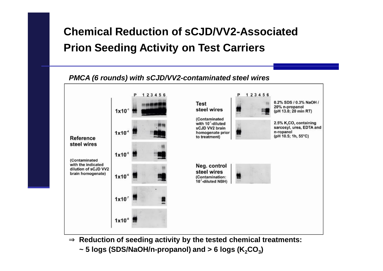# **Chemical Reduction of sCJD/VV2-Associated Prion Seeding Activity on Test Carriers**



- ⇒ **Reduction of seeding activity by the tested chemical treatments:** 
	- **~ 5 logs (SDS/NaOH/n-propanol) and > 6 logs (K2CO<sup>3</sup> )**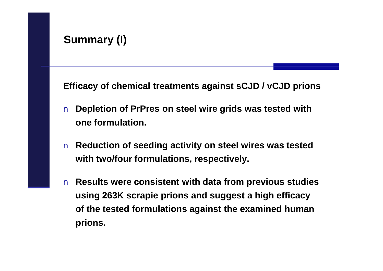**Efficacy of chemical treatments against sCJD / vCJD prions**

- n **Depletion of PrPres on steel wire grids was tested with one formulation.**
- n **Reduction of seeding activity on steel wires was tested with two/four formulations, respectively.**
- n **Results were consistent with data from previous studies using 263K scrapie prions and suggest a high efficacy of the tested formulations against the examined human prions.**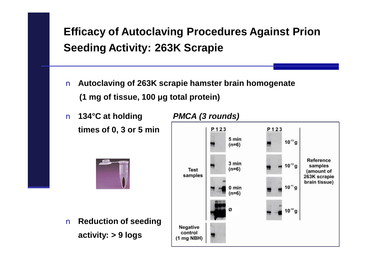# **Efficacy of Autoclaving Procedures Against Prion Seeding Activity: 263K Scrapie**

- n **Autoclaving of 263K scrapie hamster brain homogenate (1 mg of tissue, 100 μg total protein)**
- n **134°C at holding** *PMCA (3 rounds)* **times of 0, 3 or 5 min**



n **Reduction of seeding activity: > 9 logs** 

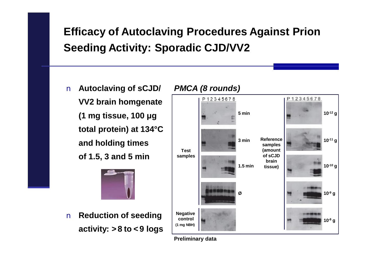# **Efficacy of Autoclaving Procedures Against Prion Seeding Activity: Sporadic CJD/VV2**

n **Autoclaving of sCJD/ VV2 brain homgenate (1 mg tissue, 100 μg total protein) at 134°C and holding times of 1.5, 3 and 5 min**



n **Reduction of seeding activity: > 8 to < 9 logs**



*PMCA (8 rounds)*

**Preliminary data**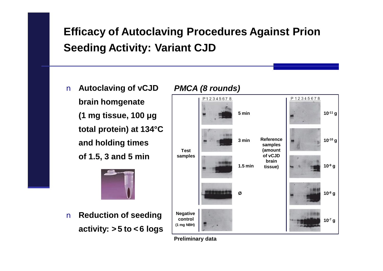### **Efficacy of Autoclaving Procedures Against Prion Seeding Activity: Variant CJD**

n **Autoclaving of vCJD brain homgenate (1 mg tissue, 100 μg total protein) at 134°C and holding times of 1.5, 3 and 5 min**



n **Reduction of seeding activity: > 5 to < 6 logs**



*PMCA (8 rounds)*

**Preliminary data**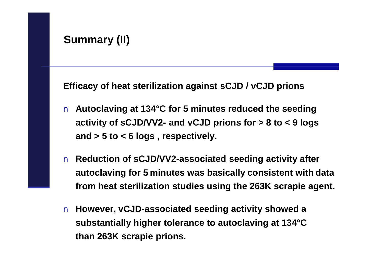**Efficacy of heat sterilization against sCJD / vCJD prions**

- n **Autoclaving at 134°C for 5 minutes reduced the seeding activity of sCJD/VV2- and vCJD prions for > 8 to < 9 logs and > 5 to < 6 logs , respectively.**
- n **Reduction of sCJD/VV2-associated seeding activity after autoclaving for 5 minutes was basically consistent with data from heat sterilization studies using the 263K scrapie agent.**
- n **However, vCJD-associated seeding activity showed a substantially higher tolerance to autoclaving at 134°C than 263K scrapie prions.**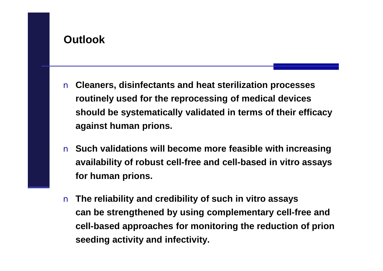- n **Cleaners, disinfectants and heat sterilization processes routinely used for the reprocessing of medical devices should be systematically validated in terms of their efficacy against human prions.**
- n **Such validations will become more feasible with increasing availability of robust cell-free and cell-based in vitro assays for human prions.**
- n **The reliability and credibility of such in vitro assays can be strengthened by using complementary cell-free and cell-based approaches for monitoring the reduction of prion seeding activity and infectivity.**